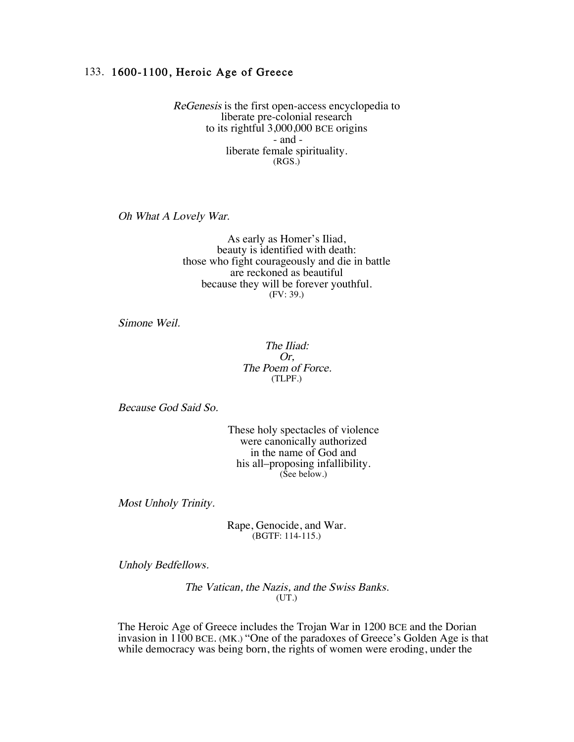## 133. 1600-1100, Heroic Age of Greece

ReGenesis is the first open-access encyclopedia to liberate pre-colonial research to its rightful 3,000,000 BCE origins - and liberate female spirituality. (RGS.)

Oh What A Lovely War.

As early as Homer's Iliad, beauty is identified with death: those who fight courageously and die in battle are reckoned as beautiful because they will be forever youthful. (FV: 39.)

Simone Weil.

The Iliad: Or, The Poem of Force. (TLPF.)

Because God Said So.

These holy spectacles of violence were canonically authorized in the name of God and his all–proposing infallibility. (See below.)

Most Unholy Trinity.

Rape, Genocide, and War. (BGTF: 114-115.)

Unholy Bedfellows.

The Vatican, the Nazis, and the Swiss Banks. (UT.)

The Heroic Age of Greece includes the Trojan War in 1200 BCE and the Dorian invasion in 1100 BCE. (MK.) "One of the paradoxes of Greece's Golden Age is that while democracy was being born, the rights of women were eroding, under the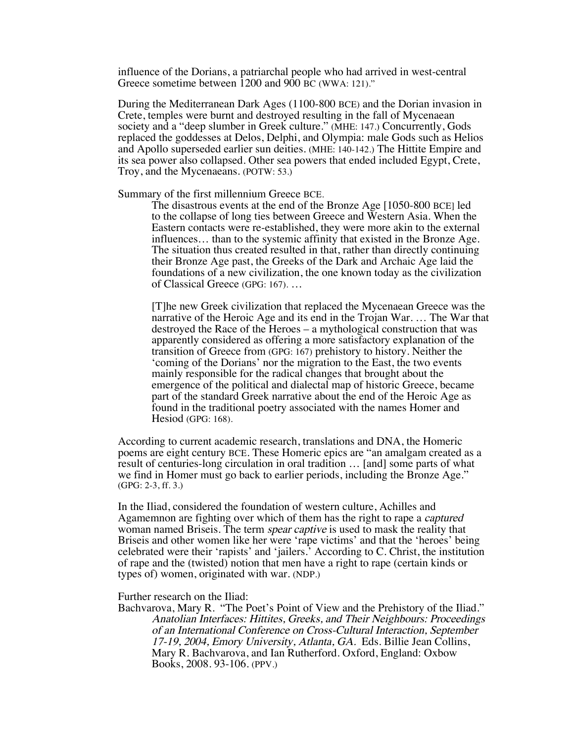influence of the Dorians, a patriarchal people who had arrived in west-central Greece sometime between 1200 and 900 BC (WWA: 121)."

During the Mediterranean Dark Ages (1100-800 BCE) and the Dorian invasion in Crete, temples were burnt and destroyed resulting in the fall of Mycenaean society and a "deep slumber in Greek culture." (MHE: 147.) Concurrently, Gods replaced the goddesses at Delos, Delphi, and Olympia: male Gods such as Helios and Apollo superseded earlier sun deities. (MHE: 140-142.) The Hittite Empire and its sea power also collapsed. Other sea powers that ended included Egypt, Crete, Troy, and the Mycenaeans. (POTW: 53.)

Summary of the first millennium Greece BCE.

The disastrous events at the end of the Bronze Age [1050-800 BCE] led to the collapse of long ties between Greece and Western Asia. When the Eastern contacts were re-established, they were more akin to the external influences… than to the systemic affinity that existed in the Bronze Age. The situation thus created resulted in that, rather than directly continuing their Bronze Age past, the Greeks of the Dark and Archaic Age laid the foundations of a new civilization, the one known today as the civilization of Classical Greece (GPG: 167). …

[T]he new Greek civilization that replaced the Mycenaean Greece was the narrative of the Heroic Age and its end in the Trojan War. … The War that destroyed the Race of the Heroes – a mythological construction that was apparently considered as offering a more satisfactory explanation of the transition of Greece from (GPG: 167) prehistory to history. Neither the 'coming of the Dorians' nor the migration to the East, the two events mainly responsible for the radical changes that brought about the emergence of the political and dialectal map of historic Greece, became part of the standard Greek narrative about the end of the Heroic Age as found in the traditional poetry associated with the names Homer and Hesiod (GPG: 168).

According to current academic research, translations and DNA, the Homeric poems are eight century BCE. These Homeric epics are "an amalgam created as a result of centuries-long circulation in oral tradition … [and] some parts of what we find in Homer must go back to earlier periods, including the Bronze Age." (GPG: 2-3, ff. 3.)

In the Iliad, considered the foundation of western culture, Achilles and Agamemnon are fighting over which of them has the right to rape a captured woman named Briseis. The term spear captive is used to mask the reality that Briseis and other women like her were 'rape victims' and that the 'heroes' being celebrated were their 'rapists' and 'jailers.' According to C. Christ, the institution of rape and the (twisted) notion that men have a right to rape (certain kinds or types of) women, originated with war. (NDP.)

Further research on the Iliad:

Bachvarova, Mary R. "The Poet's Point of View and the Prehistory of the Iliad." Anatolian Interfaces: Hittites, Greeks, and Their Neighbours: Proceedings of an International Conference on Cross-Cultural Interaction, September 17-19, 2004, Emory University, Atlanta, GA. Eds. Billie Jean Collins, Mary R. Bachvarova, and Ian Rutherford. Oxford, England: Oxbow Books, 2008. 93-106. (PPV.)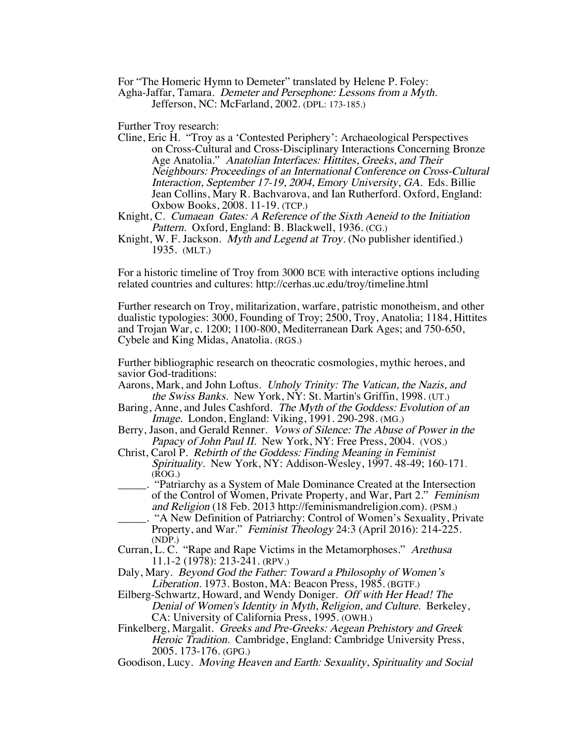For "The Homeric Hymn to Demeter" translated by Helene P. Foley:

Agha-Jaffar, Tamara. Demeter and Persephone: Lessons from a Myth.

Jefferson, NC: McFarland, 2002. (DPL: 173-185.)

Further Troy research:

Cline, Eric H. "Troy as a 'Contested Periphery': Archaeological Perspectives on Cross-Cultural and Cross-Disciplinary Interactions Concerning Bronze Age Anatolia." Anatolian Interfaces: Hittites, Greeks, and Their Neighbours: Proceedings of an International Conference on Cross-Cultural Interaction, September 17-19, 2004, Emory University, GA. Eds. Billie Jean Collins, Mary R. Bachvarova, and Ian Rutherford. Oxford, England: Oxbow Books, 2008. 11-19. (TCP.)

Knight, C. Cumaean Gates: A Reference of the Sixth Aeneid to the Initiation Pattern. Oxford, England: B. Blackwell, 1936. (CG.)

Knight, W. F. Jackson. *Myth and Legend at Troy.* (No publisher identified.) 1935. (MLT.)

For a historic timeline of Troy from 3000 BCE with interactive options including related countries and cultures: http://cerhas.uc.edu/troy/timeline.html

Further research on Troy, militarization, warfare, patristic monotheism, and other dualistic typologies: 3000, Founding of Troy; 2500, Troy, Anatolia; 1184, Hittites and Trojan War, c. 1200; 1100-800, Mediterranean Dark Ages; and 750-650, Cybele and King Midas, Anatolia. (RGS.)

Further bibliographic research on theocratic cosmologies, mythic heroes, and savior God-traditions:

- Aarons, Mark, and John Loftus. Unholy Trinity: The Vatican, the Nazis, and the Swiss Banks. New York, NY: St. Martin's Griffin, 1998. (UT.)
- Baring, Anne, and Jules Cashford. The Myth of the Goddess: Evolution of an Image. London, England: Viking, 1991. 290-298. (MG.)
- Berry, Jason, and Gerald Renner. Vows of Silence: The Abuse of Power in the Papacy of John Paul II. New York, NY: Free Press, 2004. (VOS.)
- Christ, Carol P. Rebirth of the Goddess: Finding Meaning in Feminist Spirituality. New York, NY: Addison-Wesley, 1997. 48-49; 160-171. (ROG.)
- \_\_\_\_\_. "Patriarchy as a System of Male Dominance Created at the Intersection of the Control of Women, Private Property, and War, Part 2." Feminism and Religion (18 Feb. 2013 http://feminismandreligion.com). (PSM.)
- \_\_\_\_\_. "A New Definition of Patriarchy: Control of Women's Sexuality, Private Property, and War." *Feminist Theology* 24:3 (April 2016): 214-225. (NDP.)
- Curran, L. C. "Rape and Rape Victims in the Metamorphoses." Arethusa 11.1-2 (1978): 213-241. (RPV.)
- Daly, Mary. Beyond God the Father: Toward a Philosophy of Women's Liberation. 1973. Boston, MA: Beacon Press, 1985. (BGTF.)
- Eilberg-Schwartz, Howard, and Wendy Doniger. Off with Her Head! The Denial of Women's Identity in Myth, Religion, and Culture. Berkeley, CA: University of California Press, 1995. (OWH.)
- Finkelberg, Margalit. Greeks and Pre-Greeks: Aegean Prehistory and Greek Heroic Tradition. Cambridge, England: Cambridge University Press, 2005. 173-176. (GPG.)
- Goodison, Lucy. Moving Heaven and Earth: Sexuality, Spirituality and Social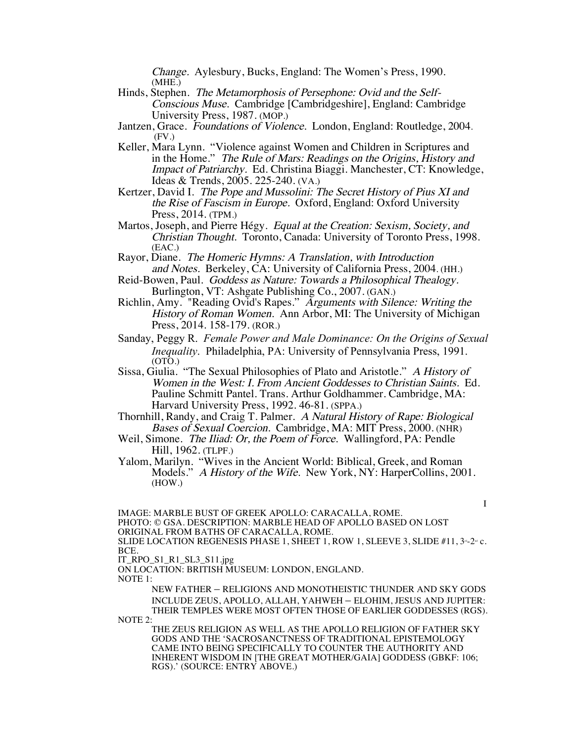Change. Aylesbury, Bucks, England: The Women's Press, 1990. (MHE.)

- Hinds, Stephen. The Metamorphosis of Persephone: Ovid and the Self-Conscious Muse. Cambridge [Cambridgeshire], England: Cambridge University Press, 1987. (MOP.)
- Jantzen, Grace. Foundations of Violence. London, England: Routledge, 2004. (FV.)
- Keller, Mara Lynn. "Violence against Women and Children in Scriptures and in the Home." The Rule of Mars: Readings on the Origins, History and Impact of Patriarchy. Ed. Christina Biaggi. Manchester, CT: Knowledge, Ideas & Trends, 2005. 225-240. (VA.)
- Kertzer, David I. The Pope and Mussolini: The Secret History of Pius XI and the Rise of Fascism in Europe. Oxford, England: Oxford University Press, 2014. (TPM.)
- Martos, Joseph, and Pierre Hégy. Equal at the Creation: Sexism, Society, and Christian Thought. Toronto, Canada: University of Toronto Press, 1998. (EAC.)
- Rayor, Diane. The Homeric Hymns: A Translation, with Introduction and Notes. Berkeley, CA: University of California Press, 2004. (HH.)
- Reid-Bowen, Paul. Goddess as Nature: Towards a Philosophical Thealogy. Burlington, VT: Ashgate Publishing Co., 2007. (GAN.)
- Richlin, Amy. "Reading Ovid's Rapes." Arguments with Silence: Writing the History of Roman Women. Ann Arbor, MI: The University of Michigan Press, 2014. 158-179. (ROR.)
- Sanday, Peggy R. *Female Power and Male Dominance: On the Origins of Sexual Inequality*. Philadelphia, PA: University of Pennsylvania Press, 1991.  $(OTO.)$
- Sissa, Giulia. "The Sexual Philosophies of Plato and Aristotle." A History of Women in the West: I. From Ancient Goddesses to Christian Saints. Ed. Pauline Schmitt Pantel. Trans. Arthur Goldhammer. Cambridge, MA: Harvard University Press, 1992. 46-81. (SPPA.)
- Thornhill, Randy, and Craig T. Palmer. A Natural History of Rape: Biological Bases of Sexual Coercion. Cambridge, MA: MIT Press, 2000. (NHR)
- Weil, Simone. The Iliad: Or, the Poem of Force. Wallingford, PA: Pendle Hill, 1962. (TLPF.)
- Yalom, Marilyn. "Wives in the Ancient World: Biblical, Greek, and Roman Models." A History of the Wife. New York, NY: HarperCollins, 2001. (HOW.)

I IMAGE: MARBLE BUST OF GREEK APOLLO: CARACALLA, ROME. PHOTO: © GSA. DESCRIPTION: MARBLE HEAD OF APOLLO BASED ON LOST ORIGINAL FROM BATHS OF CARACALLA, ROME. SLIDE LOCATION REGENESIS PHASE 1, SHEET 1, ROW 1, SLEEVE 3, SLIDE  $#11$ ,  $3*-2-c$ .

BCE.

IT\_RPO\_S1\_R1\_SL3\_S11.jpg

ON LOCATION: BRITISH MUSEUM: LONDON, ENGLAND. NOTE 1:

NEW FATHER – RELIGIONS AND MONOTHEISTIC THUNDER AND SKY GODS INCLUDE ZEUS, APOLLO, ALLAH, YAHWEH – ELOHIM, JESUS AND JUPITER: THEIR TEMPLES WERE MOST OFTEN THOSE OF EARLIER GODDESSES (RGS).

NOTE 2:

THE ZEUS RELIGION AS WELL AS THE APOLLO RELIGION OF FATHER SKY GODS AND THE 'SACROSANCTNESS OF TRADITIONAL EPISTEMOLOGY CAME INTO BEING SPECIFICALLY TO COUNTER THE AUTHORITY AND INHERENT WISDOM IN [THE GREAT MOTHER/GAIA] GODDESS (GBKF: 106; RGS).' (SOURCE: ENTRY ABOVE.)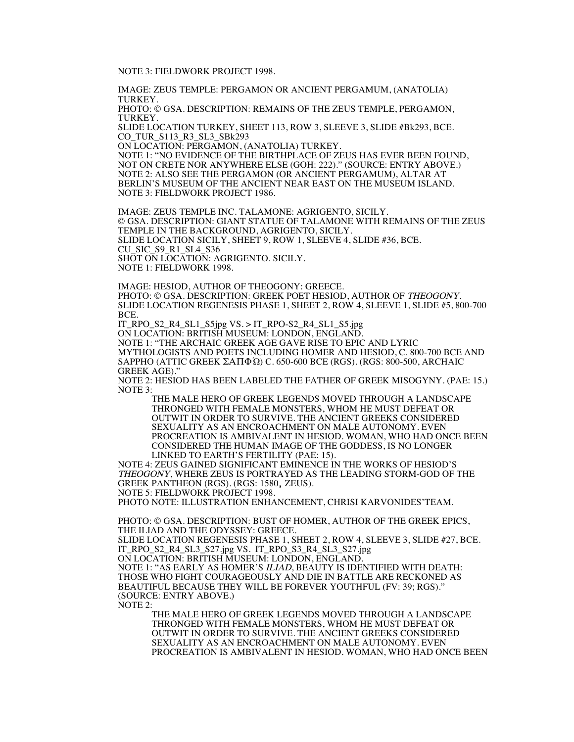NOTE 3: FIELDWORK PROJECT 1998.

IMAGE: ZEUS TEMPLE: PERGAMON OR ANCIENT PERGAMUM, (ANATOLIA) TURKEY.

PHOTO: © GSA. DESCRIPTION: REMAINS OF THE ZEUS TEMPLE, PERGAMON, TURKEY.

SLIDE LOCATION TURKEY, SHEET 113, ROW 3, SLEEVE 3, SLIDE #Bk293, BCE. CO\_TUR\_S113\_R3\_SL3\_SBk293

ON LOCATION: PERGAMON, (ANATOLIA) TURKEY.

NOTE 1: "NO EVIDENCE OF THE BIRTHPLACE OF ZEUS HAS EVER BEEN FOUND, NOT ON CRETE NOR ANYWHERE ELSE (GOH: 222)." (SOURCE: ENTRY ABOVE.) NOTE 2: ALSO SEE THE PERGAMON (OR ANCIENT PERGAMUM), ALTAR AT BERLIN'S MUSEUM OF THE ANCIENT NEAR EAST ON THE MUSEUM ISLAND. NOTE 3: FIELDWORK PROJECT 1986.

IMAGE: ZEUS TEMPLE INC. TALAMONE: AGRIGENTO, SICILY. © GSA. DESCRIPTION: GIANT STATUE OF TALAMONE WITH REMAINS OF THE ZEUS TEMPLE IN THE BACKGROUND, AGRIGENTO, SICILY. SLIDE LOCATION SICILY, SHEET 9, ROW 1, SLEEVE 4, SLIDE #36, BCE. CU\_SIC\_S9\_R1\_SL4\_S36 SHOT ON LOCATION: AGRIGENTO. SICILY. NOTE 1: FIELDWORK 1998.

IMAGE: HESIOD, AUTHOR OF THEOGONY: GREECE. PHOTO: © GSA. DESCRIPTION: GREEK POET HESIOD, AUTHOR OF THEOGONY. SLIDE LOCATION REGENESIS PHASE 1, SHEET 2, ROW 4, SLEEVE 1, SLIDE #5, 800-700 BCE.

IT\_RPO\_S2\_R4\_SL1\_S5jpg VS. > IT\_RPO-S2\_R4\_SL1\_S5.jpg

ON LOCATION: BRITISH MUSEUM: LONDON, ENGLAND. NOTE 1: "THE ARCHAIC GREEK AGE GAVE RISE TO EPIC AND LYRIC MYTHOLOGISTS AND POETS INCLUDING HOMER AND HESIOD, C. 800-700 BCE AND SAPPHO (ATTIC GREEK ΣΑΠΦΏ) C. 650-600 BCE (RGS). (RGS: 800-500, ARCHAIC GREEK AGE).

NOTE 2: HESIOD HAS BEEN LABELED THE FATHER OF GREEK MISOGYNY. (PAE: 15.) NOTE 3:

THE MALE HERO OF GREEK LEGENDS MOVED THROUGH A LANDSCAPE THRONGED WITH FEMALE MONSTERS, WHOM HE MUST DEFEAT OR OUTWIT IN ORDER TO SURVIVE. THE ANCIENT GREEKS CONSIDERED SEXUALITY AS AN ENCROACHMENT ON MALE AUTONOMY. EVEN PROCREATION IS AMBIVALENT IN HESIOD. WOMAN, WHO HAD ONCE BEEN CONSIDERED THE HUMAN IMAGE OF THE GODDESS, IS NO LONGER LINKED TO EARTH'S FERTILITY (PAE: 15).

NOTE 4: ZEUS GAINED SIGNIFICANT EMINENCE IN THE WORKS OF HESIOD'S THEOGONY, WHERE ZEUS IS PORTRAYED AS THE LEADING STORM-GOD OF THE GREEK PANTHEON (RGS). (RGS: 1580, ZEUS).

NOTE 5: FIELDWORK PROJECT 1998.

PHOTO NOTE: ILLUSTRATION ENHANCEMENT, CHRISI KARVONIDES'TEAM.

PHOTO: © GSA. DESCRIPTION: BUST OF HOMER, AUTHOR OF THE GREEK EPICS, THE ILIAD AND THE ODYSSEY: GREECE.

SLIDE LOCATION REGENESIS PHASE 1, SHEET 2, ROW 4, SLEEVE 3, SLIDE #27, BCE. IT\_RPO\_S2\_R4\_SL3\_S27.jpg VS. IT\_RPO\_S3\_R4\_SL3\_S27.jpg

ON LOCATION: BRITISH MUSEUM: LONDON, ENGLAND.

NOTE 1: "AS EARLY AS HOMER'S ILIAD, BEAUTY IS IDENTIFIED WITH DEATH: THOSE WHO FIGHT COURAGEOUSLY AND DIE IN BATTLE ARE RECKONED AS BEAUTIFUL BECAUSE THEY WILL BE FOREVER YOUTHFUL (FV: 39; RGS)." (SOURCE: ENTRY ABOVE.)

NOTE 2:

THE MALE HERO OF GREEK LEGENDS MOVED THROUGH A LANDSCAPE THRONGED WITH FEMALE MONSTERS, WHOM HE MUST DEFEAT OR OUTWIT IN ORDER TO SURVIVE. THE ANCIENT GREEKS CONSIDERED SEXUALITY AS AN ENCROACHMENT ON MALE AUTONOMY. EVEN PROCREATION IS AMBIVALENT IN HESIOD. WOMAN, WHO HAD ONCE BEEN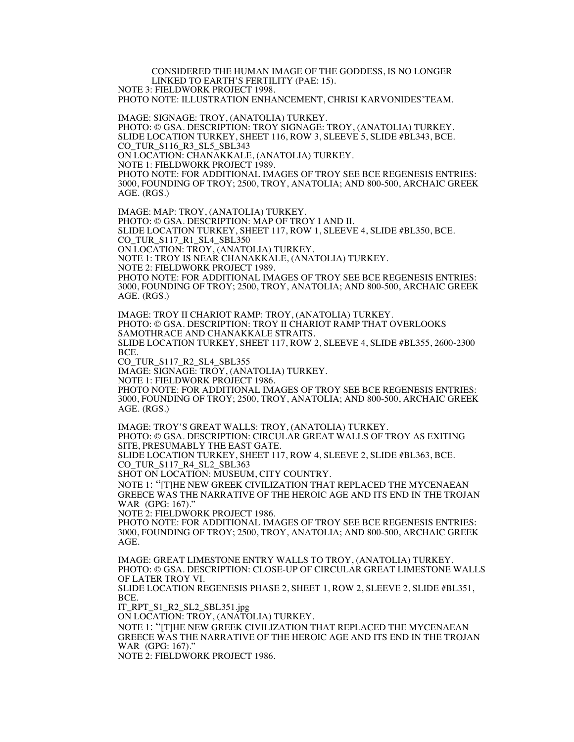CONSIDERED THE HUMAN IMAGE OF THE GODDESS, IS NO LONGER LINKED TO EARTH'S FERTILITY (PAE: 15). NOTE 3: FIELDWORK PROJECT 1998.

PHOTO NOTE: ILLUSTRATION ENHANCEMENT, CHRISI KARVONIDES'TEAM.

IMAGE: SIGNAGE: TROY, (ANATOLIA) TURKEY. PHOTO: © GSA. DESCRIPTION: TROY SIGNAGE: TROY, (ANATOLIA) TURKEY. SLIDE LOCATION TURKEY, SHEET 116, ROW 3, SLEEVE 5, SLIDE #BL343, BCE. CO\_TUR\_S116\_R3\_SL5\_SBL343 ON LOCATION: CHANAKKALE, (ANATOLIA) TURKEY. NOTE 1: FIELDWORK PROJECT 1989. PHOTO NOTE: FOR ADDITIONAL IMAGES OF TROY SEE BCE REGENESIS ENTRIES: 3000, FOUNDING OF TROY; 2500, TROY, ANATOLIA; AND 800-500, ARCHAIC GREEK AGE. (RGS.)

IMAGE: MAP: TROY, (ANATOLIA) TURKEY. PHOTO: © GSA. DESCRIPTION: MAP OF TROY I AND II. SLIDE LOCATION TURKEY, SHEET 117, ROW 1, SLEEVE 4, SLIDE #BL350, BCE. CO\_TUR\_S117\_R1\_SL4\_SBL350 ON LOCATION: TROY, (ANATOLIA) TURKEY. NOTE 1: TROY IS NEAR CHANAKKALE, (ANATOLIA) TURKEY. NOTE 2: FIELDWORK PROJECT 1989. PHOTO NOTE: FOR ADDITIONAL IMAGES OF TROY SEE BCE REGENESIS ENTRIES: 3000, FOUNDING OF TROY; 2500, TROY, ANATOLIA; AND 800-500, ARCHAIC GREEK AGE. (RGS.)

IMAGE: TROY II CHARIOT RAMP: TROY, (ANATOLIA) TURKEY. PHOTO: © GSA. DESCRIPTION: TROY II CHARIOT RAMP THAT OVERLOOKS SAMOTHRACE AND CHANAKKALE STRAITS. SLIDE LOCATION TURKEY, SHEET 117, ROW 2, SLEEVE 4, SLIDE #BL355, 2600-2300 BCE. CO\_TUR\_S117\_R2\_SL4\_SBL355 IMAGE: SIGNAGE: TROY, (ANATOLIA) TURKEY. NOTE 1: FIELDWORK PROJECT 1986. PHOTO NOTE: FOR ADDITIONAL IMAGES OF TROY SEE BCE REGENESIS ENTRIES: 3000, FOUNDING OF TROY; 2500, TROY, ANATOLIA; AND 800-500, ARCHAIC GREEK AGE. (RGS.)

IMAGE: TROY'S GREAT WALLS: TROY, (ANATOLIA) TURKEY. PHOTO: © GSA. DESCRIPTION: CIRCULAR GREAT WALLS OF TROY AS EXITING SITE, PRESUMABLY THE EAST GATE. SLIDE LOCATION TURKEY, SHEET 117, ROW 4, SLEEVE 2, SLIDE #BL363, BCE. CO\_TUR\_S117\_R4\_SL2\_SBL363 SHOT ON LOCATION: MUSEUM, CITY COUNTRY. NOTE 1: "[T]HE NEW GREEK CIVILIZATION THAT REPLACED THE MYCENAEAN GREECE WAS THE NARRATIVE OF THE HEROIC AGE AND ITS END IN THE TROJAN WAR (GPG: 167)." NOTE 2: FIELDWORK PROJECT 1986.

PHOTO NOTE: FOR ADDITIONAL IMAGES OF TROY SEE BCE REGENESIS ENTRIES: 3000, FOUNDING OF TROY; 2500, TROY, ANATOLIA; AND 800-500, ARCHAIC GREEK AGE.

IMAGE: GREAT LIMESTONE ENTRY WALLS TO TROY, (ANATOLIA) TURKEY. PHOTO: © GSA. DESCRIPTION: CLOSE-UP OF CIRCULAR GREAT LIMESTONE WALLS OF LATER TROY VI. SLIDE LOCATION REGENESIS PHASE 2, SHEET 1, ROW 2, SLEEVE 2, SLIDE #BL351, BCE.

IT\_RPT\_S1\_R2\_SL2\_SBL351.jpg

ON LOCATION: TROY, (ANATOLIA) TURKEY.

NOTE 1: "[T]HE NEW GREEK CIVILIZATION THAT REPLACED THE MYCENAEAN GREECE WAS THE NARRATIVE OF THE HEROIC AGE AND ITS END IN THE TROJAN WAR (GPG: 167)."

NOTE 2: FIELDWORK PROJECT 1986.